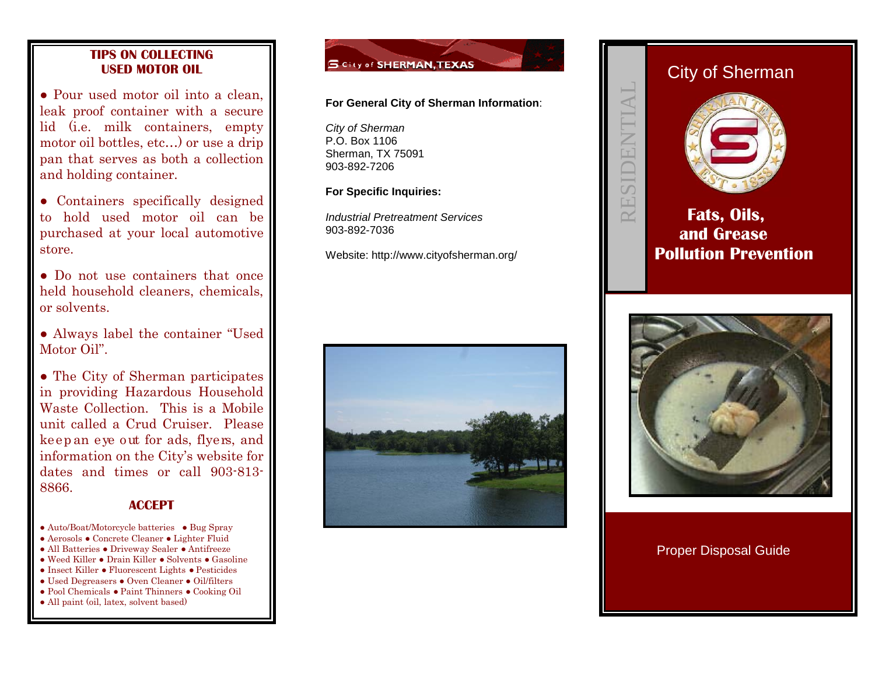#### **TIPS ON COLLECTING USED MOTOR OIL**

● Pour used motor oil into a clean, leak proof container with a secure lid (i.e. milk containers, empty motor oil bottles, etc…) or use a drip pan that serves as both a collection and holding container.

● Containers specifically designed to hold used motor oil can be purchased at your local automotive store.

• Do not use containers that once held household cleaners, chemicals, or solvents.

● Always label the container "Used Motor Oil".

• The City of Sherman participates in providing Hazardous Household Waste Collection. This is a Mobile unit called a Crud Cruiser. Please keep an eye out for ads, flyers, and information on the City's website for dates and times or call 903-813- 8866.

#### **ACCEPT**

- Auto/Boat/Motorcycle batteries Bug Spray
- Aerosols Concrete Cleaner Lighter Fluid
- All Batteries Driveway Sealer Antifreeze
- Weed Killer Drain Killer Solvents Gasoline
- Insect Killer Fluorescent Lights Pesticides
- Used Degreasers Oven Cleaner Oil/filters ● Pool Chemicals ● Paint Thinners ● Cooking Oil
- All paint (oil, latex, solvent based)



### **For General City of Sherman Information**:

*City of Sherman* P.O. Box 1106 Sherman, TX 75091 903-892-7206

### **For Specific Inquiries:**

*Industrial Pretreatment Services* 903-892-7036

Website: http://www.cityofsherman.org/



# City of Sherman



RESIDENTIAL

RESIDENT

## **Fats, Oils, and Grease Pollution Prevention**



### Proper Disposal Guide